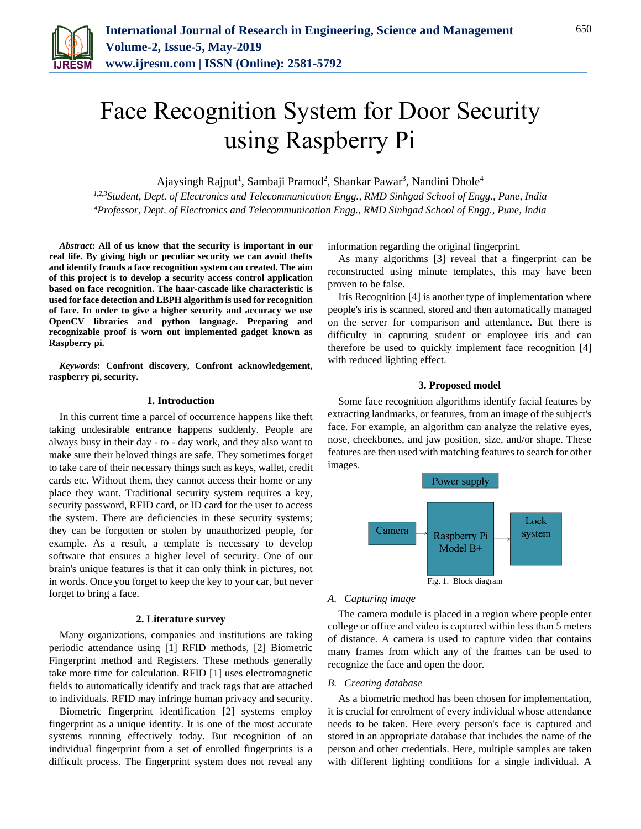

# Face Recognition System for Door Security using Raspberry Pi

Ajaysingh Rajput<sup>1</sup>, Sambaji Pramod<sup>2</sup>, Shankar Pawar<sup>3</sup>, Nandini Dhole<sup>4</sup>

*1,2,3Student, Dept. of Electronics and Telecommunication Engg., RMD Sinhgad School of Engg., Pune, India <sup>4</sup>Professor, Dept. of Electronics and Telecommunication Engg., RMD Sinhgad School of Engg., Pune, India*

*Abstract***: All of us know that the security is important in our real life. By giving high or peculiar security we can avoid thefts and identify frauds a face recognition system can created. The aim of this project is to develop a security access control application based on face recognition. The haar-cascade like characteristic is used for face detection and LBPH algorithm is used for recognition of face. In order to give a higher security and accuracy we use OpenCV libraries and python language. Preparing and recognizable proof is worn out implemented gadget known as Raspberry pi.**

*Keywords***: Confront discovery, Confront acknowledgement, raspberry pi, security.**

## **1. Introduction**

In this current time a parcel of occurrence happens like theft taking undesirable entrance happens suddenly. People are always busy in their day - to - day work, and they also want to make sure their beloved things are safe. They sometimes forget to take care of their necessary things such as keys, wallet, credit cards etc. Without them, they cannot access their home or any place they want. Traditional security system requires a key, security password, RFID card, or ID card for the user to access the system. There are deficiencies in these security systems; they can be forgotten or stolen by unauthorized people, for example. As a result, a template is necessary to develop software that ensures a higher level of security. One of our brain's unique features is that it can only think in pictures, not in words. Once you forget to keep the key to your car, but never forget to bring a face.

### **2. Literature survey**

Many organizations, companies and institutions are taking periodic attendance using [1] RFID methods, [2] Biometric Fingerprint method and Registers. These methods generally take more time for calculation. RFID [1] uses electromagnetic fields to automatically identify and track tags that are attached to individuals. RFID may infringe human privacy and security.

Biometric fingerprint identification [2] systems employ fingerprint as a unique identity. It is one of the most accurate systems running effectively today. But recognition of an individual fingerprint from a set of enrolled fingerprints is a difficult process. The fingerprint system does not reveal any information regarding the original fingerprint.

As many algorithms [3] reveal that a fingerprint can be reconstructed using minute templates, this may have been proven to be false.

Iris Recognition [4] is another type of implementation where people's iris is scanned, stored and then automatically managed on the server for comparison and attendance. But there is difficulty in capturing student or employee iris and can therefore be used to quickly implement face recognition [4] with reduced lighting effect.

# **3. Proposed model**

Some face recognition algorithms identify facial features by extracting landmarks, or features, from an image of the subject's face. For example, an algorithm can analyze the relative eyes, nose, cheekbones, and jaw position, size, and/or shape. These features are then used with matching features to search for other images.



#### *A. Capturing image*

The camera module is placed in a region where people enter college or office and video is captured within less than 5 meters of distance. A camera is used to capture video that contains many frames from which any of the frames can be used to recognize the face and open the door.

### *B. Creating database*

As a biometric method has been chosen for implementation, it is crucial for enrolment of every individual whose attendance needs to be taken. Here every person's face is captured and stored in an appropriate database that includes the name of the person and other credentials. Here, multiple samples are taken with different lighting conditions for a single individual. A